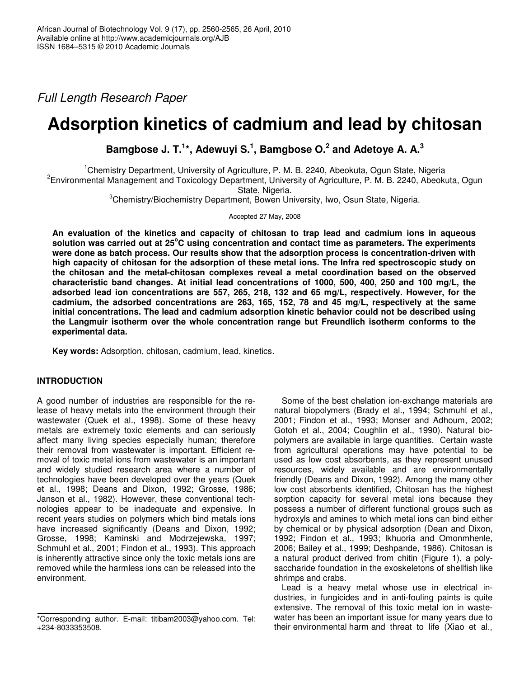*Full Length Research Paper*

# **Adsorption kinetics of cadmium and lead by chitosan**

**Bamgbose J. T. 1 \*, Adewuyi S. 1 , Bamgbose O. 2 and Adetoye A. A. 3**

<sup>1</sup>Chemistry Department, University of Agriculture, P. M. B. 2240, Abeokuta, Ogun State, Nigeria

2 Environmental Management and Toxicology Department, University of Agriculture, P. M. B. 2240, Abeokuta, Ogun State, Nigeria.

<sup>3</sup>Chemistry/Biochemistry Department, Bowen University, Iwo, Osun State, Nigeria.

Accepted 27 May, 2008

**An evaluation of the kinetics and capacity of chitosan to trap lead and cadmium ions in aqueous solution was carried out at 25 <sup>o</sup>C using concentration and contact time as parameters. The experiments were done as batch process. Our results show that the adsorption process is concentration-driven with high capacity of chitosan for the adsorption of these metal ions. The Infra red spectroscopic study on the chitosan and the metal-chitosan complexes reveal a metal coordination based on the observed characteristic band changes. At initial lead concentrations of 1000, 500, 400, 250 and 100 mg/L, the adsorbed lead ion concentrations are 557, 265, 218, 132 and 65 mg/L, respectively. However, for the cadmium, the adsorbed concentrations are 263, 165, 152, 78 and 45 mg/L, respectively at the same initial concentrations. The lead and cadmium adsorption kinetic behavior could not be described using the Langmuir isotherm over the whole concentration range but Freundlich isotherm conforms to the experimental data.**

**Key words:** Adsorption, chitosan, cadmium, lead, kinetics.

# **INTRODUCTION**

A good number of industries are responsible for the release of heavy metals into the environment through their wastewater (Quek et al*.*, 1998). Some of these heavy metals are extremely toxic elements and can seriously affect many living species especially human; therefore their removal from wastewater is important. Efficient removal of toxic metal ions from wastewater is an important and widely studied research area where a number of technologies have been developed over the years (Quek et al*.*, 1998; Deans and Dixon, 1992; Grosse, 1986; Janson et al*.*, 1982). However, these conventional technologies appear to be inadequate and expensive. In recent years studies on polymers which bind metals ions have increased significantly (Deans and Dixon, 1992; Grosse, 1998; Kaminski and Modrzejewska, 1997; Schmuhl et al*.*, 2001; Findon et al*.*, 1993). This approach is inherently attractive since only the toxic metals ions are removed while the harmless ions can be released into the environment.

Some of the best chelation ion-exchange materials are natural biopolymers (Brady et al*.*, 1994; Schmuhl et al*.*, 2001; Findon et al*.*, 1993; Monser and Adhoum, 2002; Gotoh et al*.*, 2004; Coughlin et al*.*, 1990). Natural biopolymers are available in large quantities. Certain waste from agricultural operations may have potential to be used as low cost absorbents, as they represent unused resources, widely available and are environmentally friendly (Deans and Dixon, 1992). Among the many other low cost absorbents identified, Chitosan has the highest sorption capacity for several metal ions because they possess a number of different functional groups such as hydroxyls and amines to which metal ions can bind either by chemical or by physical adsorption (Dean and Dixon, 1992; Findon et al*.*, 1993; Ikhuoria and Omonmhenle, 2006; Bailey et al*.*, 1999; Deshpande, 1986). Chitosan is a natural product derived from chitin (Figure 1), a polysaccharide foundation in the exoskeletons of shellfish like shrimps and crabs.

Lead is a heavy metal whose use in electrical industries, in fungicides and in anti-fouling paints is quite extensive. The removal of this toxic metal ion in wastewater has been an important issue for many years due to their environmental harm and threat to life (Xiao et al*.*,

<sup>\*</sup>Corresponding author. E-mail: titibam2003@yahoo.com. Tel: +234-8033353508.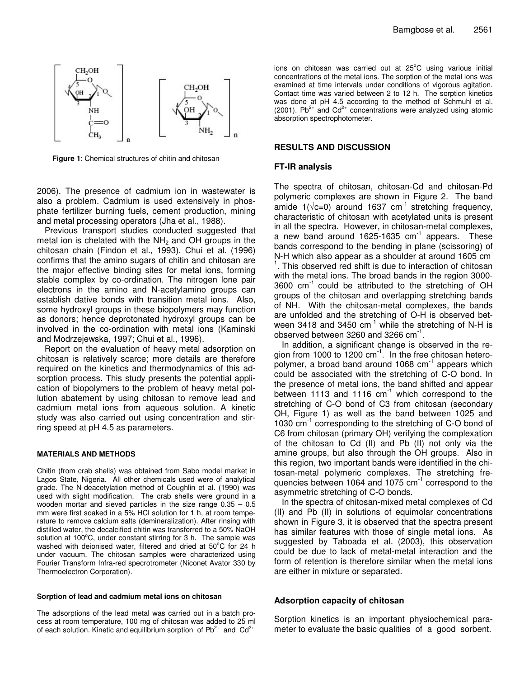

**Figure 1**: Chemical structures of chitin and chitosan

2006). The presence of cadmium ion in wastewater is also a problem. Cadmium is used extensively in phosphate fertilizer burning fuels, cement production, mining and metal processing operators (Jha et al., 1988).

Previous transport studies conducted suggested that metal ion is chelated with the  $NH<sub>2</sub>$  and OH groups in the chitosan chain (Findon et al*.,* 1993). Chui et al*.* (1996) confirms that the amino sugars of chitin and chitosan are the major effective binding sites for metal ions, forming stable complex by co-ordination. The nitrogen lone pair electrons in the amino and N-acetylamino groups can establish dative bonds with transition metal ions. Also, some hydroxyl groups in these biopolymers may function as donors; hence deprotonated hydroxyl groups can be involved in the co-ordination with metal ions (Kaminski and Modrzejewska, 1997; Chui et al*.,* 1996).

Report on the evaluation of heavy metal adsorption on chitosan is relatively scarce; more details are therefore required on the kinetics and thermodynamics of this adsorption process. This study presents the potential application of biopolymers to the problem of heavy metal pollution abatement by using chitosan to remove lead and cadmium metal ions from aqueous solution. A kinetic study was also carried out using concentration and stirring speed at pH 4.5 as parameters.

#### **MATERIALS AND METHODS**

Chitin (from crab shells) was obtained from Sabo model market in Lagos State, Nigeria. All other chemicals used were of analytical grade. The N-deacetylation method of Coughlin et al*.* (1990) was used with slight modification. The crab shells were ground in a wooden mortar and sieved particles in the size range 0.35 – 0.5 mm were first soaked in a 5% HCl solution for 1 h, at room temperature to remove calcium salts (demineralization). After rinsing with distilled water, the decalcified chitin was transferred to a 50% NaOH solution at 100°C, under constant stirring for 3 h. The sample was washed with deionised water, filtered and dried at 50°C for 24 h under vacuum. The chitosan samples were characterized using Fourier Transform Infra-red specrotrometer (Niconet Avator 330 by Thermoelectron Corporation).

### **Sorption of lead and cadmium metal ions on chitosan**

The adsorptions of the lead metal was carried out in a batch process at room temperature, 100 mg of chitosan was added to 25 ml of each solution. Kinetic and equilibrium sorption of  $Pb^{2+}$  and  $Cd^{2+}$ 

ions on chitosan was carried out at 25°C using various initial concentrations of the metal ions. The sorption of the metal ions was examined at time intervals under conditions of vigorous agitation. Contact time was varied between 2 to 12 h. The sorption kinetics was done at pH 4.5 according to the method of Schmuhl et al*.* (2001). Pb<sup>2+</sup> and Cd<sup>2+</sup> concentrations were analyzed using atomic absorption spectrophotometer.

## **RESULTS AND DISCUSSION**

#### **FT-IR analysis**

The spectra of chitosan, chitosan-Cd and chitosan-Pd polymeric complexes are shown in Figure 2. The band amide 1( $\sqrt{c}$ =0) around 1637 cm<sup>-1</sup> stretching frequency, characteristic of chitosan with acetylated units is present in all the spectra. However, in chitosan-metal complexes, a new band around 1625-1635  $cm^{-1}$  appears. These bands correspond to the bending in plane (scissoring) of N-H which also appear as a shoulder at around 1605 cm <sup>1</sup>. This observed red shift is due to interaction of chitosan with the metal ions. The broad bands in the region 3000- 3600 cm -1 could be attributed to the stretching of OH groups of the chitosan and overlapping stretching bands of NH. With the chitosan-metal complexes, the bands are unfolded and the stretching of O-H is observed between 3418 and 3450  $cm^{-1}$  while the stretching of N-H is observed between 3260 and 3266  $cm^{-1}$ .

In addition, a significant change is observed in the region from 1000 to 1200 cm<sup>-1</sup>. In the free chitosan heteropolymer, a broad band around 1068 cm<sup>-1</sup> appears which could be associated with the stretching of C-O bond. In the presence of metal ions, the band shifted and appear between 1113 and 1116 cm<sup>-1</sup> which correspond to the stretching of C-O bond of C3 from chitosan (secondary OH, Figure 1) as well as the band between 1025 and 1030 cm<sup>-1</sup> corresponding to the stretching of C-O bond of C6 from chitosan (primary OH) verifying the complexation of the chitosan to Cd (II) and Pb (II) not only via the amine groups, but also through the OH groups. Also in this region, two important bands were identified in the chitosan-metal polymeric complexes. The stretching frequencies between 1064 and 1075 cm<sup>-1</sup> correspond to the asymmetric stretching of C-O bonds.

In the spectra of chitosan-mixed metal complexes of Cd (II) and Pb (II) in solutions of equimolar concentrations shown in Figure 3, it is observed that the spectra present has similar features with those of single metal ions. As suggested by Taboada et al*.* (2003), this observation could be due to lack of metal-metal interaction and the form of retention is therefore similar when the metal ions are either in mixture or separated.

#### **Adsorption capacity of chitosan**

Sorption kinetics is an important physiochemical parameter to evaluate the basic qualities of a good sorbent.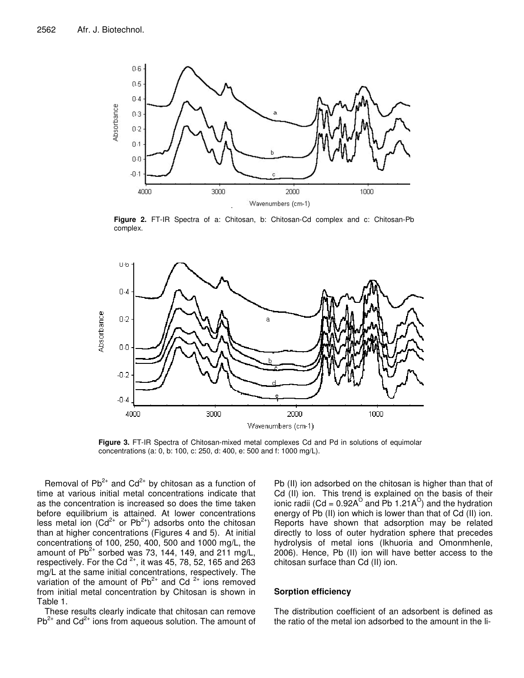

**Figure 2.** FT-IR Spectra of a: Chitosan, b: Chitosan-Cd complex and c: Chitosan-Pb complex.



**Figure 3.** FT-IR Spectra of Chitosan-mixed metal complexes Cd and Pd in solutions of equimolar concentrations (a: 0, b: 100, c: 250, d: 400, e: 500 and f: 1000 mg/L).

Removal of  $Pb^{2+}$  and  $Cd^{2+}$  by chitosan as a function of time at various initial metal concentrations indicate that as the concentration is increased so does the time taken before equilibrium is attained. At lower concentrations less metal ion (Cd<sup>2+</sup> or Pb<sup>2+</sup>) adsorbs onto the chitosan than at higher concentrations (Figures 4 and 5). At initial concentrations of 100, 250, 400, 500 and 1000 mg/L, the amount of Pb<sup>2+</sup> sorbed was 73, 144, 149, and 211 mg/L, respectively. For the Cd<sup>2+</sup>, it was 45, 78, 52, 165 and 263 mg/L at the same initial concentrations, respectively. The variation of the amount of  $Pb^{2+}$  and Cd<sup>2+</sup> ions removed from initial metal concentration by Chitosan is shown in Table 1.

These results clearly indicate that chitosan can remove  $Pb^{2+}$  and  $Cd^{2+}$  ions from aqueous solution. The amount of

Pb (II) ion adsorbed on the chitosan is higher than that of Cd (II) ion. This trend is explained on the basis of their ionic radii (Cd = 0.92A $^{\circ}$  and Pb 1.21A $^{\circ}$ ) and the hydration energy of Pb (II) ion which is lower than that of Cd (II) ion. Reports have shown that adsorption may be related directly to loss of outer hydration sphere that precedes hydrolysis of metal ions (Ikhuoria and Omonmhenle, 2006). Hence, Pb (II) ion will have better access to the chitosan surface than Cd (II) ion.

## **Sorption efficiency**

The distribution coefficient of an adsorbent is defined as the ratio of the metal ion adsorbed to the amount in the li-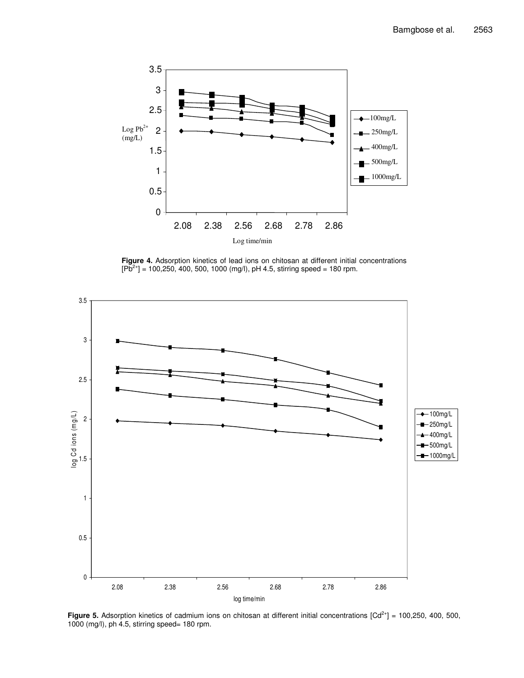

**Figure 4.** Adsorption kinetics of lead ions on chitosan at different initial concentrations  $[P\bar{b}^{2+}]$  = 100,250, 400, 500, 1000 (mg/l), pH 4.5, stirring speed = 180 rpm.



Figure 5. Adsorption kinetics of cadmium ions on chitosan at different initial concentrations [Cd<sup>2+</sup>] = 100,250, 400, 500, 1000 (mg/l), ph 4.5, stirring speed= 180 rpm.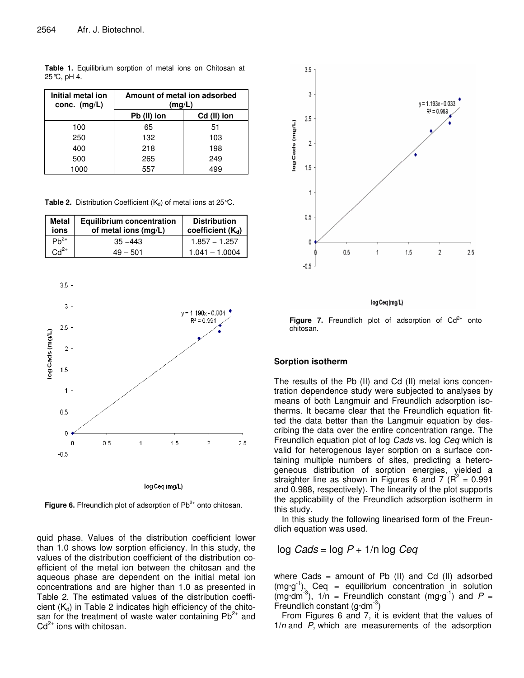**Table 1.** Equilibrium sorption of metal ions on Chitosan at 25°C, pH 4.

| Initial metal ion<br>conc. $(mg/L)$ | Amount of metal ion adsorbed<br>(mg/L) |             |
|-------------------------------------|----------------------------------------|-------------|
|                                     | Pb (II) ion                            | Cd (II) ion |
| 100                                 | 65                                     | 51          |
| 250                                 | 132                                    | 103         |
| 400                                 | 218                                    | 198         |
| 500                                 | 265                                    | 249         |
| 1000                                | 55.7                                   | 499         |

**Table 2.** Distribution Coefficient  $(K_d)$  of metal ions at 25 °C.

| <b>Metal</b><br>ions | <b>Equilibrium concentration</b><br>of metal ions (mg/L) | <b>Distribution</b><br>coefficient $(K_d)$ |
|----------------------|----------------------------------------------------------|--------------------------------------------|
| $Ph^{2+}$            | $35 - 443$                                               | $1.857 - 1.257$                            |
| $Cd2+$               | $49 - 501$                                               | $1.041 - 1.0004$                           |



Figure 6. Ffreundlich plot of adsorption of Pb<sup>2+</sup> onto chitosan.

quid phase. Values of the distribution coefficient lower than 1.0 shows low sorption efficiency. In this study, the values of the distribution coefficient of the distribution coefficient of the metal ion between the chitosan and the aqueous phase are dependent on the initial metal ion concentrations and are higher than 1.0 as presented in Table 2. The estimated values of the distribution coefficient  $(K_d)$  in Table 2 indicates high efficiency of the chitosan for the treatment of waste water containing  $Pb^{2+}$  and  $Cd<sup>2+</sup>$  ions with chitosan.



log Ceq (mg/L)

Figure 7. Freundlich plot of adsorption of Cd<sup>2+</sup> onto chitosan.

# **Sorption isotherm**

The results of the Pb (II) and Cd (II) metal ions concentration dependence study were subjected to analyses by means of both Langmuir and Freundlich adsorption isotherms. It became clear that the Freundlich equation fitted the data better than the Langmuir equation by describing the data over the entire concentration range. The Freundlich equation plot of log *Cads* vs. log *Ceq* which is valid for heterogenous layer sorption on a surface containing multiple numbers of sites, predicting a heterogeneous distribution of sorption energies, yielded a straighter line as shown in Figures 6 and 7  $(R^2 = 0.991)$ and 0.988, respectively). The linearity of the plot supports the applicability of the Freundlich adsorption isotherm in this study.

In this study the following linearised form of the Freundlich equation was used.

log *Cads* = log *P* + 1/n log *Ceq*

where Cads  $=$  amount of Pb (II) and Cd (II) adsorbed  $(mg \cdot g^{-1})$ , Ceq = equilibrium concentration in solution  $(mg\cdot dm^{-3})$ ,  $1/n =$  Freundlich constant  $(mg\cdot g^{-1})$  and  $P =$ Freundlich constant  $(\text{g-dm}^{-3})$ 

From Figures 6 and 7, it is evident that the values of 1/*n* and *P*, which are measurements of the adsorption